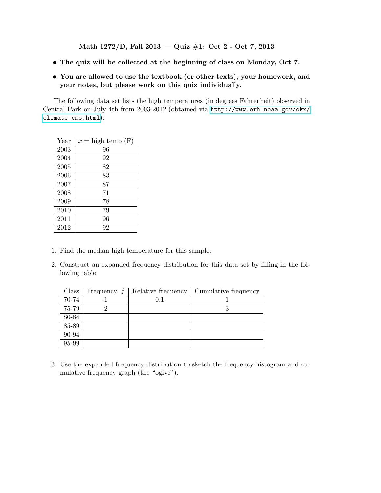Math 1272/D, Fall 2013 — Quiz #1: Oct 2 - Oct 7, 2013

- The quiz will be collected at the beginning of class on Monday, Oct 7.
- You are allowed to use the textbook (or other texts), your homework, and your notes, but please work on this quiz individually.

The following data set lists the high temperatures (in degrees Fahrenheit) observed in Central Park on July 4th from 2003-2012 (obtained via [http://www.erh.noaa.gov/okx/](http://www.erh.noaa.gov/okx/climate_cms.html) [climate\\_cms.html](http://www.erh.noaa.gov/okx/climate_cms.html)):

| Year | $x =$ high temp $(F)$ |
|------|-----------------------|
| 2003 | 96                    |
| 2004 | 92                    |
| 2005 | 82                    |
| 2006 | 83                    |
| 2007 | 87                    |
| 2008 | 71                    |
| 2009 | 78                    |
| 2010 | 79                    |
| 2011 | 96                    |
| 2012 | 92                    |

- 1. Find the median high temperature for this sample.
- 2. Construct an expanded frequency distribution for this data set by filling in the following table:

| Class | Frequency, $f$ | Relative frequency | Cumulative frequency |
|-------|----------------|--------------------|----------------------|
| 70-74 |                | 0.1                |                      |
| 75-79 |                |                    |                      |
| 80-84 |                |                    |                      |
| 85-89 |                |                    |                      |
| 90-94 |                |                    |                      |
| 95-99 |                |                    |                      |

3. Use the expanded frequency distribution to sketch the frequency histogram and cumulative frequency graph (the "ogive").